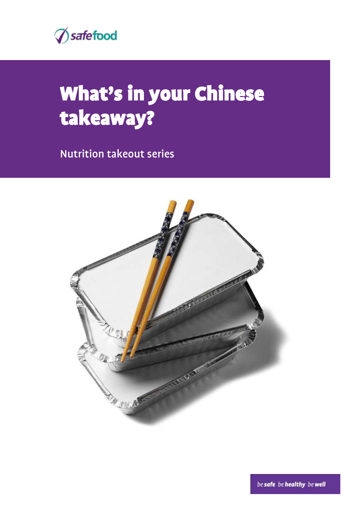

# What's in your Chinese takeaway?

Nutrition takeout series

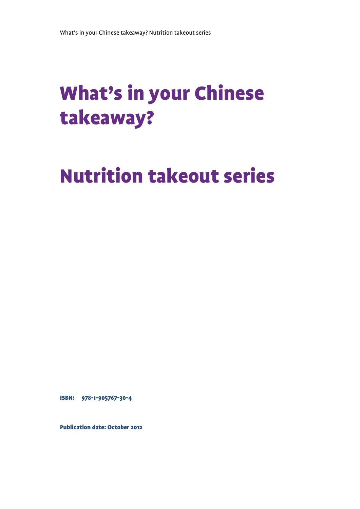# What's in your Chinese takeaway?

# Nutrition takeout series

ISBN: 978-1-905767-30-4

Publication date: October 2012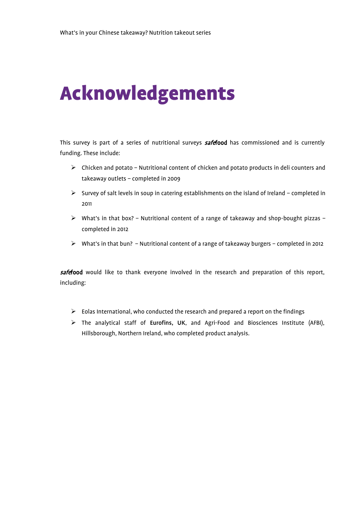# Acknowledgements

This survey is part of a series of nutritional surveys **safefood** has commissioned and is currently funding. These include:

- $\triangleright$  Chicken and potato Nutritional content of chicken and potato products in deli counters and takeaway outlets – completed in 2009
- $\triangleright$  Survey of salt levels in soup in catering establishments on the island of Ireland completed in 2011
- What's in that box? Nutritional content of a range of takeaway and shop-bought pizzas completed in 2012
- What's in that bun? Nutritional content of a range of takeaway burgers completed in 2012

safefood would like to thank everyone involved in the research and preparation of this report, including:

- $\triangleright$  Eolas International, who conducted the research and prepared a report on the findings
- The analytical staff of Eurofins, UK, and Agri-Food and Biosciences Institute (AFBI), Hillsborough, Northern Ireland, who completed product analysis.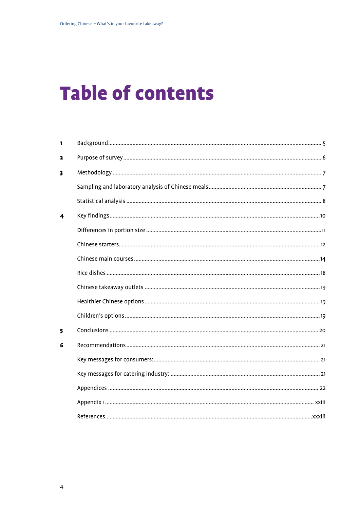# **Table of contents**

| 1                       |  |
|-------------------------|--|
| 2                       |  |
| $\overline{\mathbf{3}}$ |  |
|                         |  |
|                         |  |
| 4                       |  |
|                         |  |
|                         |  |
|                         |  |
|                         |  |
|                         |  |
|                         |  |
|                         |  |
| 5                       |  |
| 6                       |  |
|                         |  |
|                         |  |
|                         |  |
|                         |  |
|                         |  |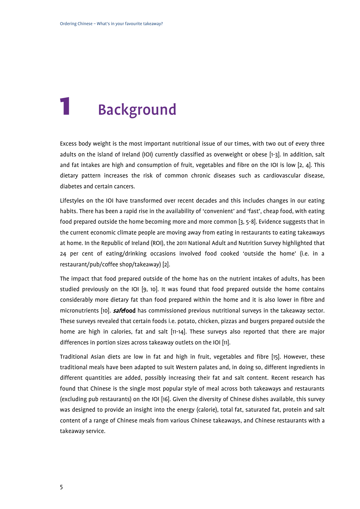# <span id="page-4-0"></span>**Background**

Excess body weight is the most important nutritional issue of our times, with two out of every three adults on the island of Ireland (IOI) currently classified as overweight or obese [\[1-3\]](#page-32-1). In addition, salt and fat intakes are high and consumption of fruit, vegetables and fibre on the IOI is low [\[2,](#page-32-2) [4\]](#page-32-3). This dietary pattern increases the risk of common chronic diseases such as cardiovascular disease, diabetes and certain cancers.

Lifestyles on the IOI have transformed over recent decades and this includes changes in our eating habits. There has been a rapid rise in the availability of 'convenient' and 'fast', cheap food, with eating food prepared outside the home becoming more and more common [\[3,](#page-32-4) [5-8\]](#page-32-5). Evidence suggests that in the current economic climate people are moving away from eating in restaurants to eating takeaways at home. In the Republic of Ireland (ROI), the 2011 National Adult and Nutrition Survey highlighted that 24 per cent of eating/drinking occasions involved food cooked 'outside the home' (i.e. in a restaurant/pub/coffee shop/takeaway) [\[2\]](#page-32-2).

The impact that food prepared outside of the home has on the nutrient intakes of adults, has been studied previously on the IOI [\[9,](#page-32-6) [10\]](#page-32-7). It was found that food prepared outside the home contains considerably more dietary fat than food prepared within the home and it is also lower in fibre and micronutrients [\[10\]](#page-32-7). **safefood** has commissioned previous nutritional surveys in the takeaway sector. These surveys revealed that certain foods i.e. potato, chicken, pizzas and burgers prepared outside the home are high in calories, fat and salt [\[11-14\]](#page-32-8). These surveys also reported that there are major differences in portion sizes across takeaway outlets on the IOI [\[11\]](#page-32-8).

Traditional Asian diets are low in fat and high in fruit, vegetables and fibre [\[15\]](#page-32-9). However, these traditional meals have been adapted to suit Western palates and, in doing so, different ingredients in different quantities are added, possibly increasing their fat and salt content. Recent research has found that Chinese is the single most popular style of meal across both takeaways and restaurants (excluding pub restaurants) on the IOI [\[16\]](#page-32-10). Given the diversity of Chinese dishes available, this survey was designed to provide an insight into the energy (calorie), total fat, saturated fat, protein and salt content of a range of Chinese meals from various Chinese takeaways, and Chinese restaurants with a takeaway service.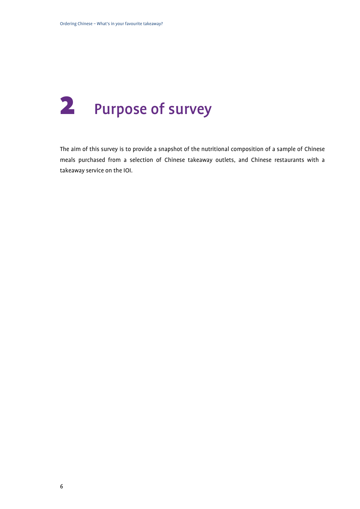# <span id="page-5-0"></span>2 Purpose of survey

The aim of this survey is to provide a snapshot of the nutritional composition of a sample of Chinese meals purchased from a selection of Chinese takeaway outlets, and Chinese restaurants with a takeaway service on the IOI.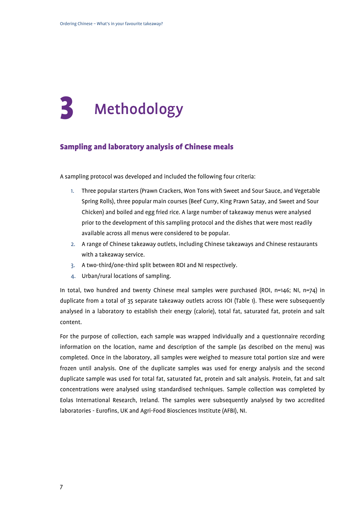# <span id="page-6-0"></span>**Methodology**

#### <span id="page-6-1"></span>Sampling and laboratory analysis of Chinese meals

A sampling protocol was developed and included the following four criteria:

- 1. Three popular starters (Prawn Crackers, Won Tons with Sweet and Sour Sauce, and Vegetable Spring Rolls), three popular main courses (Beef Curry, King Prawn Satay, and Sweet and Sour Chicken) and boiled and egg fried rice. A large number of takeaway menus were analysed prior to the development of this sampling protocol and the dishes that were most readily available across all menus were considered to be popular.
- 2. A range of Chinese takeaway outlets, including Chinese takeaways and Chinese restaurants with a takeaway service.
- 3. A two-third/one-third split between ROI and NI respectively.
- 4. Urban/rural locations of sampling.

In total, two hundred and twenty Chinese meal samples were purchased (ROI, n=146; NI, n=74) in duplicate from a total of 35 separate takeaway outlets across IOI (Table 1). These were subsequently analysed in a laboratory to establish their energy (calorie), total fat, saturated fat, protein and salt content.

For the purpose of collection, each sample was wrapped individually and a questionnaire recording information on the location, name and description of the sample (as described on the menu) was completed. Once in the laboratory, all samples were weighed to measure total portion size and were frozen until analysis. One of the duplicate samples was used for energy analysis and the second duplicate sample was used for total fat, saturated fat, protein and salt analysis. Protein, fat and salt concentrations were analysed using standardised techniques. Sample collection was completed by Eolas International Research, Ireland. The samples were subsequently analysed by two accredited laboratories - Eurofins, UK and Agri-Food Biosciences Institute (AFBI), NI.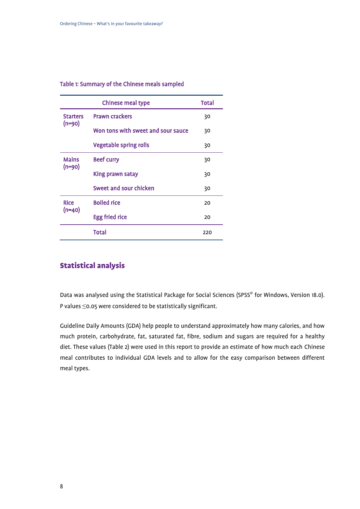#### Table 1: Summary of the Chinese meals sampled

|                 | <b>Chinese meal type</b>           | <b>Total</b> |
|-----------------|------------------------------------|--------------|
| <b>Starters</b> | <b>Prawn crackers</b>              | 30           |
| $(n=90)$        | Won tons with sweet and sour sauce | 30           |
|                 | <b>Vegetable spring rolls</b>      | 30           |
| <b>Mains</b>    | <b>Beef curry</b>                  | 30           |
| $(n=90)$        | King prawn satay                   | 30           |
|                 | Sweet and sour chicken             | 30           |
| <b>Rice</b>     | <b>Boiled rice</b>                 | 20           |
| $(n=40)$        | <b>Egg fried rice</b>              | 20           |
|                 | Total                              | 220          |

### <span id="page-7-0"></span>Statistical analysis

Data was analysed using the Statistical Package for Social Sciences (SPSS<sup>®</sup> for Windows, Version 18.0). P values ≤0.05 were considered to be statistically significant.

Guideline Daily Amounts (GDA) help people to understand approximately how many calories, and how much protein, carbohydrate, fat, saturated fat, fibre, sodium and sugars are required for a healthy diet. These values (Table 2) were used in this report to provide an estimate of how much each Chinese meal contributes to individual GDA levels and to allow for the easy comparison between different meal types.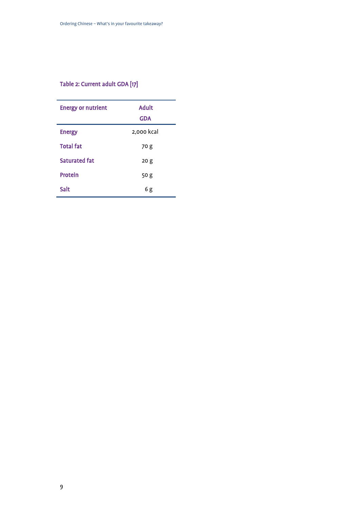### Table 2: Current adult GDA [\[17\]](#page-32-11)

| <b>Energy or nutrient</b> | <b>Adult</b>    |
|---------------------------|-----------------|
|                           | <b>GDA</b>      |
| <b>Energy</b>             | 2,000 kcal      |
| <b>Total fat</b>          | 70 g            |
| <b>Saturated fat</b>      | 20 <sub>g</sub> |
| Protein                   | 50 g            |
| Salt                      | 6g              |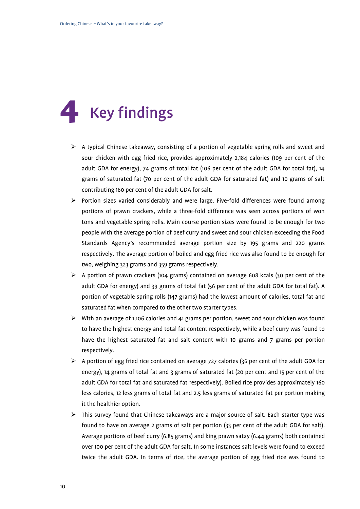# <span id="page-9-0"></span>**Key findings**

- $\triangleright$  A typical Chinese takeaway, consisting of a portion of vegetable spring rolls and sweet and sour chicken with egg fried rice, provides approximately 2,184 calories (109 per cent of the adult GDA for energy), 74 grams of total fat (106 per cent of the adult GDA for total fat), 14 grams of saturated fat (70 per cent of the adult GDA for saturated fat) and 10 grams of salt contributing 160 per cent of the adult GDA for salt.
- $\triangleright$  Portion sizes varied considerably and were large. Five-fold differences were found among portions of prawn crackers, while a three-fold difference was seen across portions of won tons and vegetable spring rolls. Main course portion sizes were found to be enough for two people with the average portion of beef curry and sweet and sour chicken exceeding the Food Standards Agency's recommended average portion size by 195 grams and 220 grams respectively. The average portion of boiled and egg fried rice was also found to be enough for two, weighing 323 grams and 359 grams respectively.
- A portion of prawn crackers (104 grams) contained on average 608 kcals (30 per cent of the adult GDA for energy) and 39 grams of total fat (56 per cent of the adult GDA for total fat). A portion of vegetable spring rolls (147 grams) had the lowest amount of calories, total fat and saturated fat when compared to the other two starter types.
- $\triangleright$  With an average of 1,106 calories and 41 grams per portion, sweet and sour chicken was found to have the highest energy and total fat content respectively, while a beef curry was found to have the highest saturated fat and salt content with 10 grams and 7 grams per portion respectively.
- $\triangleright$  A portion of egg fried rice contained on average 727 calories (36 per cent of the adult GDA for energy), 14 grams of total fat and 3 grams of saturated fat (20 per cent and 15 per cent of the adult GDA for total fat and saturated fat respectively). Boiled rice provides approximately 160 less calories, 12 less grams of total fat and 2.5 less grams of saturated fat per portion making it the healthier option.
- $\triangleright$  This survey found that Chinese takeaways are a major source of salt. Each starter type was found to have on average 2 grams of salt per portion (33 per cent of the adult GDA for salt). Average portions of beef curry (6.85 grams) and king prawn satay (6.44 grams) both contained over 100 per cent of the adult GDA for salt. In some instances salt levels were found to exceed twice the adult GDA. In terms of rice, the average portion of egg fried rice was found to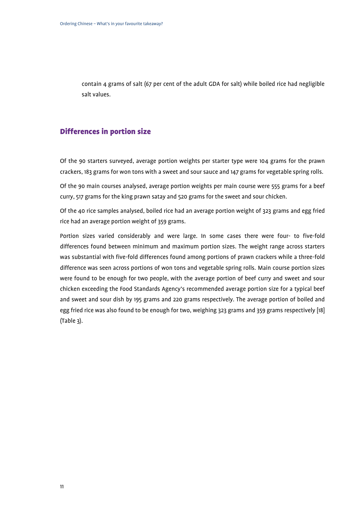contain 4 grams of salt (67 per cent of the adult GDA for salt) while boiled rice had negligible salt values.

#### <span id="page-10-0"></span>Differences in portion size

Of the 90 starters surveyed, average portion weights per starter type were 104 grams for the prawn crackers, 183 grams for won tons with a sweet and sour sauce and 147 grams for vegetable spring rolls.

Of the 90 main courses analysed, average portion weights per main course were 555 grams for a beef curry, 517 grams for the king prawn satay and 520 grams for the sweet and sour chicken.

Of the 40 rice samples analysed, boiled rice had an average portion weight of 323 grams and egg fried rice had an average portion weight of 359 grams.

Portion sizes varied considerably and were large. In some cases there were four- to five-fold differences found between minimum and maximum portion sizes. The weight range across starters was substantial with five-fold differences found among portions of prawn crackers while a three-fold difference was seen across portions of won tons and vegetable spring rolls. Main course portion sizes were found to be enough for two people, with the average portion of beef curry and sweet and sour chicken exceeding the Food Standards Agency's recommended average portion size for a typical beef and sweet and sour dish by 195 grams and 220 grams respectively. The average portion of boiled and egg fried rice was also found to be enough for two, weighing 323 grams and 359 grams respectively [\[18\]](#page-32-12) (Table 3).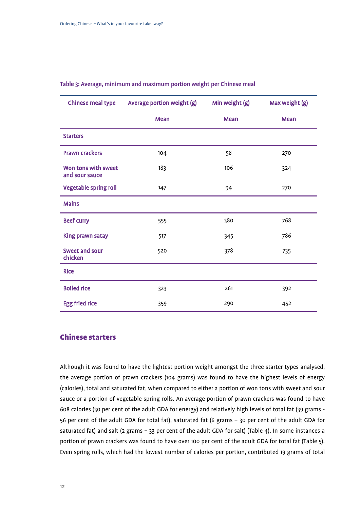| <b>Chinese meal type</b>              | Average portion weight (g) | Min weight (g) | Max weight (g) |
|---------------------------------------|----------------------------|----------------|----------------|
|                                       | Mean                       | Mean           | Mean           |
| <b>Starters</b>                       |                            |                |                |
| <b>Prawn crackers</b>                 | 104                        | 58             | 270            |
| Won tons with sweet<br>and sour sauce | 183                        | 106            | 324            |
| <b>Vegetable spring roll</b>          | 147                        | 94             | 270            |
| <b>Mains</b>                          |                            |                |                |
| <b>Beef curry</b>                     | 555                        | 380            | 768            |
| King prawn satay                      | 517                        | 345            | 786            |
| <b>Sweet and sour</b><br>chicken      | 520                        | 378            | 735            |
| <b>Rice</b>                           |                            |                |                |
| <b>Boiled rice</b>                    | 323                        | 261            | 392            |
| <b>Egg fried rice</b>                 | 359                        | 290            | 452            |

#### Table 3: Average, minimum and maximum portion weight per Chinese meal

### <span id="page-11-0"></span>Chinese starters

Although it was found to have the lightest portion weight amongst the three starter types analysed, the average portion of prawn crackers (104 grams) was found to have the highest levels of energy (calories), total and saturated fat, when compared to either a portion of won tons with sweet and sour sauce or a portion of vegetable spring rolls. An average portion of prawn crackers was found to have 608 calories (30 per cent of the adult GDA for energy) and relatively high levels of total fat (39 grams - 56 per cent of the adult GDA for total fat), saturated fat (6 grams – 30 per cent of the adult GDA for saturated fat) and salt (2 grams – 33 per cent of the adult GDA for salt) (Table 4). In some instances a portion of prawn crackers was found to have over 100 per cent of the adult GDA for total fat (Table 5). Even spring rolls, which had the lowest number of calories per portion, contributed 19 grams of total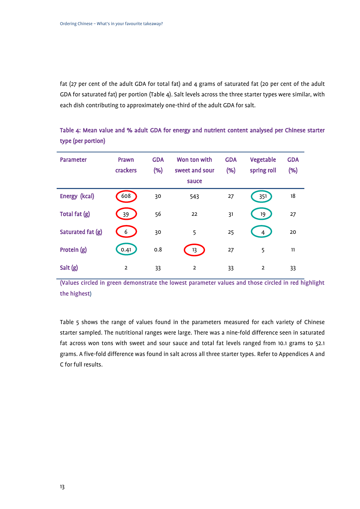fat (27 per cent of the adult GDA for total fat) and 4 grams of saturated fat (20 per cent of the adult GDA for saturated fat) per portion (Table 4). Salt levels across the three starter types were similar, with each dish contributing to approximately one-third of the adult GDA for salt.

Table 4: Mean value and % adult GDA for energy and nutrient content analysed per Chinese starter type (per portion)

| <b>Parameter</b>  | Prawn<br>crackers | <b>GDA</b><br>(% ) | Won ton with<br>sweet and sour<br>sauce | <b>GDA</b><br>(% ) | Vegetable<br>spring roll | <b>GDA</b><br>(% ) |
|-------------------|-------------------|--------------------|-----------------------------------------|--------------------|--------------------------|--------------------|
| Energy (kcal)     | 608               | 30                 | 543                                     | 27                 | 351                      | 18                 |
| Total fat (g)     | 39                | 56                 | 22                                      | 31                 | 19                       | 27                 |
| Saturated fat (g) | 6                 | 30                 | 5                                       | 25                 | $\overline{4}$           | 20                 |
| Protein (g)       | [0.41]            | 0.8                | 13                                      | 27                 | 5                        | 11                 |
| Salt (g)          | $\overline{2}$    | 33                 | $\overline{2}$                          | 33                 | $\overline{2}$           | 33                 |

(Values circled in green demonstrate the lowest parameter values and those circled in red highlight the highest)

Table 5 shows the range of values found in the parameters measured for each variety of Chinese starter sampled. The nutritional ranges were large. There was a nine-fold difference seen in saturated fat across won tons with sweet and sour sauce and total fat levels ranged from 10.1 grams to 52.1 grams. A five-fold difference was found in salt across all three starter types. Refer to Appendices A and C for full results.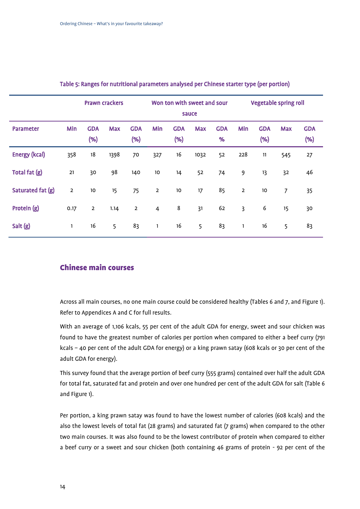|                      |                | <b>Prawn crackers</b> |            |                   |                | Won ton with sweet and sour<br>sauce |            |                 |                |                      | <b>Vegetable spring roll</b> |                      |
|----------------------|----------------|-----------------------|------------|-------------------|----------------|--------------------------------------|------------|-----------------|----------------|----------------------|------------------------------|----------------------|
| <b>Parameter</b>     | Min            | <b>GDA</b><br>(% )    | <b>Max</b> | <b>GDA</b><br>(%) | Min            | <b>GDA</b><br>(%)                    | <b>Max</b> | <b>GDA</b><br>% | Min            | <b>GDA</b><br>$(\%)$ | <b>Max</b>                   | <b>GDA</b><br>$(\%)$ |
| <b>Energy (kcal)</b> | 358            | 18                    | 1398       | 70                | 327            | 16                                   | 1032       | 52              | 228            | 11                   | 545                          | 27                   |
| Total fat (g)        | 21             | 30                    | 98         | 140               | 10             | 14                                   | 52         | 74              | 9              | 13                   | 32                           | 46                   |
| Saturated fat (g)    | $\overline{2}$ | $10\,$                | 15         | 75                | $\overline{2}$ | 10                                   | 17         | 85              | $\mathbf 2$    | 10                   | $\overline{7}$               | 35                   |
| Protein (g)          | 0.17           | $\overline{2}$        | 1.14       | $\overline{2}$    | $\overline{4}$ | $\bf 8$                              | 31         | 62              | $\overline{3}$ | 6                    | 15                           | 30                   |
| Salt (g)             | 1              | 16                    | 5          | 83                | 1              | 16                                   | 5          | 83              | $\mathbf{1}$   | 16                   | 5                            | 83                   |

#### Table 5: Ranges for nutritional parameters analysed per Chinese starter type (per portion)

#### <span id="page-13-0"></span>Chinese main courses

Across all main courses, no one main course could be considered healthy (Tables 6 and 7, and Figure 1). Refer to Appendices A and C for full results.

With an average of 1,106 kcals, 55 per cent of the adult GDA for energy, sweet and sour chicken was found to have the greatest number of calories per portion when compared to either a beef curry (791 kcals – 40 per cent of the adult GDA for energy) or a king prawn satay (608 kcals or 30 per cent of the adult GDA for energy).

This survey found that the average portion of beef curry (555 grams) contained over half the adult GDA for total fat, saturated fat and protein and over one hundred per cent of the adult GDA for salt (Table 6 and Figure 1).

Per portion, a king prawn satay was found to have the lowest number of calories (608 kcals) and the also the lowest levels of total fat (28 grams) and saturated fat (7 grams) when compared to the other two main courses. It was also found to be the lowest contributor of protein when compared to either a beef curry or a sweet and sour chicken (both containing 46 grams of protein - 92 per cent of the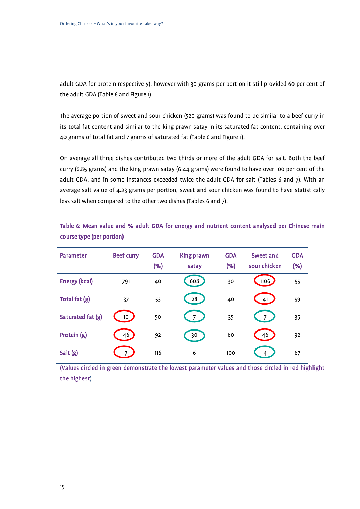adult GDA for protein respectively), however with 30 grams per portion it still provided 60 per cent of the adult GDA (Table 6 and Figure 1).

The average portion of sweet and sour chicken (520 grams) was found to be similar to a beef curry in its total fat content and similar to the king prawn satay in its saturated fat content, containing over 40 grams of total fat and 7 grams of saturated fat (Table 6 and Figure 1).

On average all three dishes contributed two-thirds or more of the adult GDA for salt. Both the beef curry (6.85 grams) and the king prawn satay (6.44 grams) were found to have over 100 per cent of the adult GDA, and in some instances exceeded twice the adult GDA for salt (Tables 6 and 7). With an average salt value of 4.23 grams per portion, sweet and sour chicken was found to have statistically less salt when compared to the other two dishes (Tables 6 and 7).

| <b>Parameter</b>     | <b>Beef curry</b> | <b>GDA</b><br>(%) | <b>King prawn</b><br>satay | <b>GDA</b><br>(% ) | Sweet and<br>sour chicken | <b>GDA</b><br>(%) |
|----------------------|-------------------|-------------------|----------------------------|--------------------|---------------------------|-------------------|
| <b>Energy (kcal)</b> | 791               | 40                | 608                        | 30                 | 1106                      | 55                |
| Total fat (g)        | 37                | 53                | 28                         | 40                 | 41                        | 59                |
| Saturated fat (g)    | 10 <sub>10</sub>  | 50                |                            | 35                 |                           | 35                |
| Protein (g)          | 46                | 92                | 30                         | 60                 | 46                        | 92                |
| Salt (g)             | 7                 | 116               | 6                          | 100                | 4                         | 67                |

Table 6: Mean value and % adult GDA for energy and nutrient content analysed per Chinese main course type (per portion)

(Values circled in green demonstrate the lowest parameter values and those circled in red highlight the highest)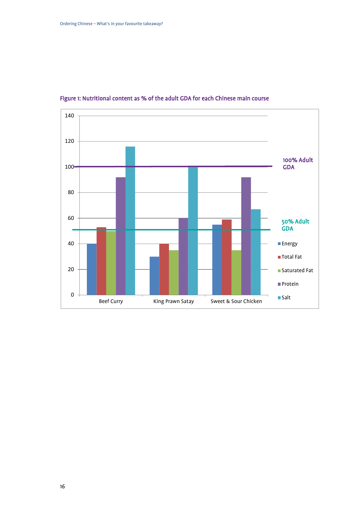

### Figure 1: Nutritional content as % of the adult GDA for each Chinese main course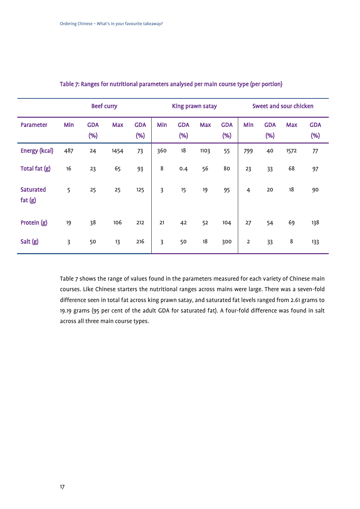|                            |                | <b>Beef curry</b>    |            | King prawn satay  |                |                   |            | Sweet and sour chicken |                |                      |            |                    |
|----------------------------|----------------|----------------------|------------|-------------------|----------------|-------------------|------------|------------------------|----------------|----------------------|------------|--------------------|
| <b>Parameter</b>           | Min            | <b>GDA</b><br>$(\%)$ | <b>Max</b> | <b>GDA</b><br>(%) | Min            | <b>GDA</b><br>(%) | <b>Max</b> | <b>GDA</b><br>$(\%)$   | Min            | <b>GDA</b><br>$(\%)$ | <b>Max</b> | <b>GDA</b><br>(% ) |
| <b>Energy (kcal)</b>       | 487            | 24                   | 1454       | 73                | 360            | 18                | 1103       | 55                     | 799            | 40                   | 1572       | 77                 |
| Total fat (g)              | 16             | 23                   | 65         | 93                | 8              | 0.4               | 56         | 80                     | 23             | 33                   | 68         | 97                 |
| <b>Saturated</b><br>fat(g) | 5              | 25                   | 25         | 125               | $\overline{3}$ | 15                | 19         | 95                     | $\overline{4}$ | 20                   | 18         | 90                 |
| Protein (g)                | 19             | 38                   | 106        | 212               | 21             | 42                | 52         | 104                    | 27             | 54                   | 69         | 138                |
| Salt (g)                   | $\overline{3}$ | 50                   | 13         | 216               | $\overline{3}$ | 50                | 18         | 300                    | $\overline{2}$ | 33                   | 8          | 133                |

#### Table 7: Ranges for nutritional parameters analysed per main course type (per portion)

Table 7 shows the range of values found in the parameters measured for each variety of Chinese main courses. Like Chinese starters the nutritional ranges across mains were large. There was a seven-fold difference seen in total fat across king prawn satay, and saturated fat levels ranged from 2.61 grams to 19.19 grams (95 per cent of the adult GDA for saturated fat). A four-fold difference was found in salt across all three main course types.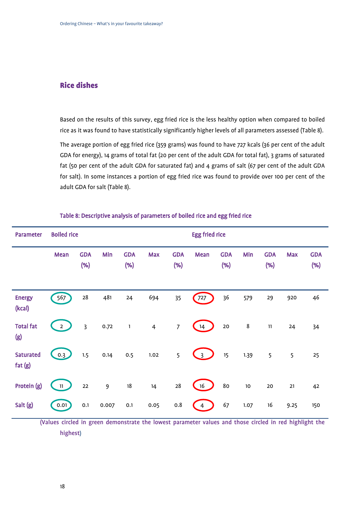### <span id="page-17-0"></span>Rice dishes

Based on the results of this survey, egg fried rice is the less healthy option when compared to boiled rice as it was found to have statistically significantly higher levels of all parameters assessed (Table 8).

The average portion of egg fried rice (359 grams) was found to have 727 kcals (36 per cent of the adult GDA for energy), 14 grams of total fat (20 per cent of the adult GDA for total fat), 3 grams of saturated fat (50 per cent of the adult GDA for saturated fat) and 4 grams of salt (67 per cent of the adult GDA for salt). In some instances a portion of egg fried rice was found to provide over 100 per cent of the adult GDA for salt (Table 8).

| <b>Parameter</b>           | <b>Boiled rice</b> |                   |                |                   |                |                   | <b>Egg fried rice</b> |                   |         |                   |            |                    |
|----------------------------|--------------------|-------------------|----------------|-------------------|----------------|-------------------|-----------------------|-------------------|---------|-------------------|------------|--------------------|
|                            | Mean               | <b>GDA</b><br>(%) | Min            | <b>GDA</b><br>(%) | <b>Max</b>     | <b>GDA</b><br>(%) | Mean                  | <b>GDA</b><br>(%) | Min     | <b>GDA</b><br>(%) | <b>Max</b> | <b>GDA</b><br>(% ) |
| <b>Energy</b><br>(kcal)    | 567                | 28                | 481            | 24                | 694            | 35                | $727$                 | 36                | 579     | 29                | 920        | 46                 |
| <b>Total fat</b><br>(g)    | $2 \quad$          | $\overline{3}$    | 0.72           | $\mathbf{1}$      | $\overline{4}$ | $\overline{7}$    | 14                    | $20\,$            | $\bf 8$ | 11                | 24         | 34                 |
| <b>Saturated</b><br>fat(g) | 0.3                | 1.5               | 0.14           | 0.5               | 1.02           | 5                 | $\frac{3}{2}$         | 15                | 1.39    | 5                 | 5          | 25                 |
| Protein (g)                | $\sqrt{11}$        | 22                | $\overline{9}$ | $18\,$            | 14             | 28                | 16                    | 80                | $10\,$  | 20                | 21         | 42                 |
| Salt (g)                   | 0.01               | 0.1               | 0.007          | 0.1               | 0.05           | 0.8               | $\overline{4}$        | 67                | 1.07    | 16                | 9.25       | 150                |

#### Table 8: Descriptive analysis of parameters of boiled rice and egg fried rice

(Values circled in green demonstrate the lowest parameter values and those circled in red highlight the highest)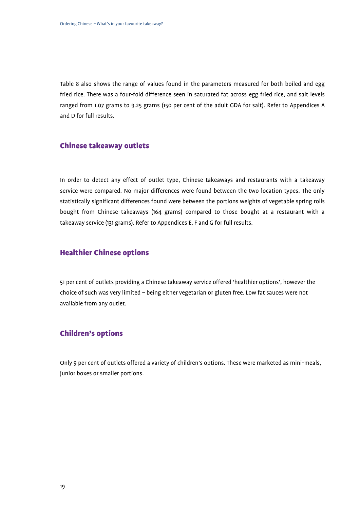Table 8 also shows the range of values found in the parameters measured for both boiled and egg fried rice. There was a four-fold difference seen in saturated fat across egg fried rice, and salt levels ranged from 1.07 grams to 9.25 grams (150 per cent of the adult GDA for salt). Refer to Appendices A and D for full results.

#### <span id="page-18-0"></span>Chinese takeaway outlets

In order to detect any effect of outlet type, Chinese takeaways and restaurants with a takeaway service were compared. No major differences were found between the two location types. The only statistically significant differences found were between the portions weights of vegetable spring rolls bought from Chinese takeaways (164 grams) compared to those bought at a restaurant with a takeaway service (131 grams). Refer to Appendices E, F and G for full results.

#### <span id="page-18-1"></span>Healthier Chinese options

51 per cent of outlets providing a Chinese takeaway service offered 'healthier options', however the choice of such was very limited – being either vegetarian or gluten free. Low fat sauces were not available from any outlet.

#### <span id="page-18-2"></span>Children's options

Only 9 per cent of outlets offered a variety of children's options. These were marketed as mini-meals, junior boxes or smaller portions.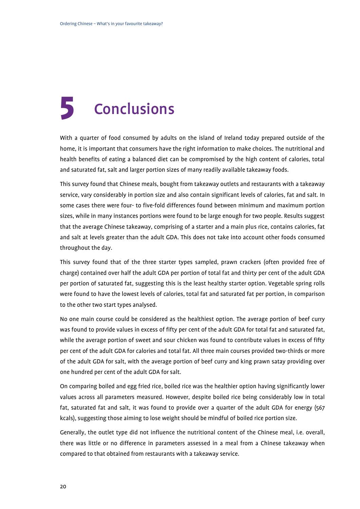# <span id="page-19-0"></span>**Conclusions**

With a quarter of food consumed by adults on the island of Ireland today prepared outside of the home, it is important that consumers have the right information to make choices. The nutritional and health benefits of eating a balanced diet can be compromised by the high content of calories, total and saturated fat, salt and larger portion sizes of many readily available takeaway foods.

This survey found that Chinese meals, bought from takeaway outlets and restaurants with a takeaway service, vary considerably in portion size and also contain significant levels of calories, fat and salt. In some cases there were four- to five-fold differences found between minimum and maximum portion sizes, while in many instances portions were found to be large enough for two people. Results suggest that the average Chinese takeaway, comprising of a starter and a main plus rice, contains calories, fat and salt at levels greater than the adult GDA. This does not take into account other foods consumed throughout the day.

This survey found that of the three starter types sampled, prawn crackers (often provided free of charge) contained over half the adult GDA per portion of total fat and thirty per cent of the adult GDA per portion of saturated fat, suggesting this is the least healthy starter option. Vegetable spring rolls were found to have the lowest levels of calories, total fat and saturated fat per portion, in comparison to the other two start types analysed.

No one main course could be considered as the healthiest option. The average portion of beef curry was found to provide values in excess of fifty per cent of the adult GDA for total fat and saturated fat, while the average portion of sweet and sour chicken was found to contribute values in excess of fifty per cent of the adult GDA for calories and total fat. All three main courses provided two-thirds or more of the adult GDA for salt, with the average portion of beef curry and king prawn satay providing over one hundred per cent of the adult GDA for salt.

On comparing boiled and egg fried rice, boiled rice was the healthier option having significantly lower values across all parameters measured. However, despite boiled rice being considerably low in total fat, saturated fat and salt, it was found to provide over a quarter of the adult GDA for energy (567 kcals), suggesting those aiming to lose weight should be mindful of boiled rice portion size.

Generally, the outlet type did not influence the nutritional content of the Chinese meal, i.e. overall, there was little or no difference in parameters assessed in a meal from a Chinese takeaway when compared to that obtained from restaurants with a takeaway service.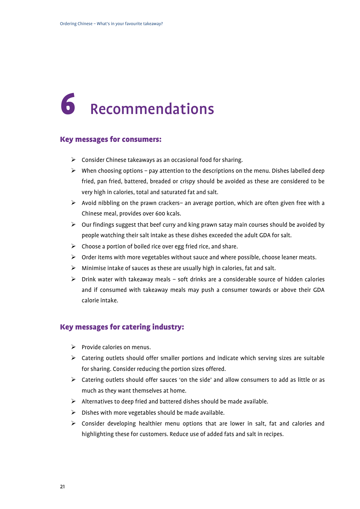# <span id="page-20-0"></span>6 Recommendations

#### <span id="page-20-1"></span>Key messages for consumers:

- $\triangleright$  Consider Chinese takeaways as an occasional food for sharing.
- $\triangleright$  When choosing options pay attention to the descriptions on the menu. Dishes labelled deep fried, pan fried, battered, breaded or crispy should be avoided as these are considered to be very high in calories, total and saturated fat and salt.
- $\triangleright$  Avoid nibbling on the prawn crackers– an average portion, which are often given free with a Chinese meal, provides over 600 kcals.
- $\triangleright$  Our findings suggest that beef curry and king prawn satay main courses should be avoided by people watching their salt intake as these dishes exceeded the adult GDA for salt.
- $\triangleright$  Choose a portion of boiled rice over egg fried rice, and share.
- $\triangleright$  Order items with more vegetables without sauce and where possible, choose leaner meats.
- $\triangleright$  Minimise intake of sauces as these are usually high in calories, fat and salt.
- $\triangleright$  Drink water with takeaway meals soft drinks are a considerable source of hidden calories and if consumed with takeaway meals may push a consumer towards or above their GDA calorie intake.

#### <span id="page-20-2"></span>Key messages for catering industry:

- $\triangleright$  Provide calories on menus.
- $\triangleright$  Catering outlets should offer smaller portions and indicate which serving sizes are suitable for sharing. Consider reducing the portion sizes offered.
- $\triangleright$  Catering outlets should offer sauces 'on the side' and allow consumers to add as little or as much as they want themselves at home.
- $\triangleright$  Alternatives to deep fried and battered dishes should be made available.
- $\triangleright$  Dishes with more vegetables should be made available.
- $\triangleright$  Consider developing healthier menu options that are lower in salt, fat and calories and highlighting these for customers. Reduce use of added fats and salt in recipes.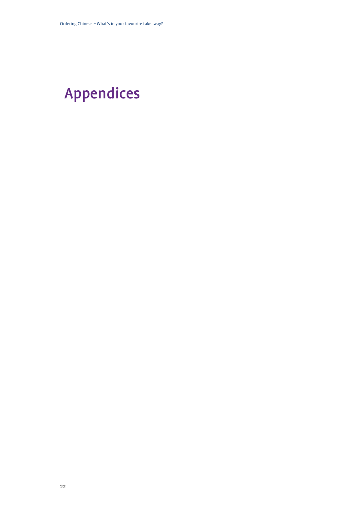## <span id="page-21-0"></span>Appendices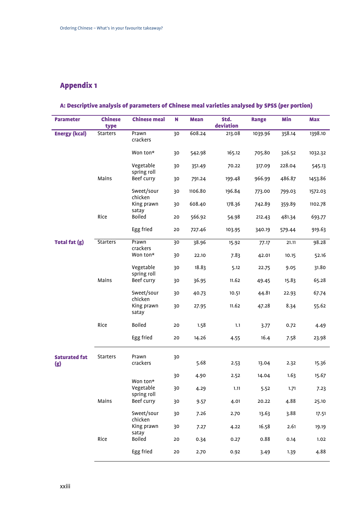### <span id="page-22-0"></span>Appendix 1

## A: Descriptive analysis of parameters of Chinese meal varieties analysed by SPSS (per portion)

| <b>Parameter</b>            | <b>Chinese</b><br>type | <b>Chinese meal</b>      | N  | <b>Mean</b> | Std.<br>deviation | <b>Range</b> | Min    | <b>Max</b> |
|-----------------------------|------------------------|--------------------------|----|-------------|-------------------|--------------|--------|------------|
| <b>Energy (kcal)</b>        | <b>Starters</b>        | Prawn                    | 30 | 608.24      | 213.08            | 1039.96      | 358.14 | 1398.10    |
|                             |                        | crackers                 |    |             |                   |              |        |            |
|                             |                        | Won ton*                 | 30 | 542.98      | 165.12            | 705.80       | 326.52 | 1032.32    |
|                             |                        | Vegetable<br>spring roll | 30 | 351.49      | 70.22             | 317.09       | 228.04 | 545.13     |
|                             | Mains                  | Beef curry               | 30 | 791.24      | 199.48            | 966.99       | 486.87 | 1453.86    |
|                             |                        | Sweet/sour<br>chicken    | 30 | 1106.80     | 196.84            | 773.00       | 799.03 | 1572.03    |
|                             |                        | King prawn<br>satay      | 30 | 608.40      | 178.36            | 742.89       | 359.89 | 1102.78    |
|                             | Rice                   | Boiled                   | 20 | 566.92      | 54.98             | 212.43       | 481.34 | 693.77     |
|                             |                        | Egg fried                | 20 | 727.46      | 103.95            | 340.19       | 579.44 | 919.63     |
| <b>Total fat (g)</b>        | <b>Starters</b>        | Prawn<br>crackers        | 30 | 38.96       | 15.92             | 77.17        | 21.11  | 98.28      |
|                             |                        | Won ton*                 | 30 | 22.10       | 7.83              | 42.01        | 10.15  | 52.16      |
|                             |                        | Vegetable<br>spring roll | 30 | 18.83       | 5.12              | 22.75        | 9.05   | 31.80      |
|                             | Mains                  | Beef curry               | 30 | 36.95       | 11.62             | 49.45        | 15.83  | 65.28      |
|                             |                        | Sweet/sour<br>chicken    | 30 | 40.73       | 10.51             | 44.81        | 22.93  | 67.74      |
|                             |                        | King prawn<br>satay      | 30 | 27.95       | 11.62             | 47.28        | 8.34   | 55.62      |
|                             | Rice                   | Boiled                   | 20 | 1.58        | 1.1               | 3.77         | 0.72   | 4.49       |
|                             |                        | Egg fried                | 20 | 14.26       | 4.55              | 16.4         | 7.58   | 23.98      |
| <b>Saturated fat</b><br>(g) | <b>Starters</b>        | Prawn<br>crackers        | 30 | 5.68        | 2.53              | 13.04        | 2.32   | 15.36      |
|                             |                        |                          |    |             |                   |              |        |            |
|                             |                        | Won ton*                 | 30 | 4.90        | 2.52              | 14.04        | 1.63   | 15.67      |
|                             |                        | Vegetable<br>spring roll | 30 | 4.29        | 1.11              | 5.52         | 1.71   | 7.23       |
|                             | Mains                  | Beef curry               | 30 | 9.57        | 4.01              | 20.22        | 4.88   | 25.10      |
|                             |                        | Sweet/sour<br>chicken    | 30 | 7.26        | 2.70              | 13.63        | 3.88   | 17.51      |
|                             |                        | King prawn<br>satay      | 30 | 7.27        | 4.22              | 16.58        | 2.61   | 19.19      |
|                             | Rice                   | Boiled                   | 20 | 0.34        | 0.27              | 0.88         | 0.14   | 1.02       |
|                             |                        | Egg fried                | 20 | 2.70        | 0.92              | 3.49         | 1.39   | 4.88       |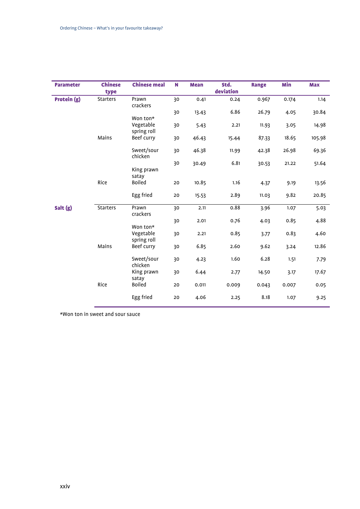| <b>Parameter</b> | <b>Chinese</b>  | <b>Chinese meal</b>      | N  | <b>Mean</b> | Std.      | <b>Range</b> | Min   | <b>Max</b> |
|------------------|-----------------|--------------------------|----|-------------|-----------|--------------|-------|------------|
|                  | type            |                          |    |             | deviation |              |       |            |
| Protein (g)      | <b>Starters</b> | Prawn<br>crackers        | 30 | 0.41        | 0.24      | 0.967        | 0.174 | 1.14       |
|                  |                 | Won ton*                 | 30 | 13.43       | 6.86      | 26.79        | 4.05  | 30.84      |
|                  |                 | Vegetable<br>spring roll | 30 | 5.43        | 2.21      | 11.93        | 3.05  | 14.98      |
|                  | Mains           | Beef curry               | 30 | 46.43       | 15.44     | 87.33        | 18.65 | 105.98     |
|                  |                 | Sweet/sour<br>chicken    | 30 | 46.38       | 11.99     | 42.38        | 26.98 | 69.36      |
|                  |                 | King prawn<br>satay      | 30 | 30.49       | 6.81      | 30.53        | 21.22 | 51.64      |
|                  | Rice            | Boiled                   | 20 | 10.85       | 1.16      | 4.37         | 9.19  | 13.56      |
|                  |                 | Egg fried                | 20 | 15.53       | 2.89      | 11.03        | 9.82  | 20.85      |
| Salt (g)         | <b>Starters</b> | Prawn<br>crackers        | 30 | 2.11        | 0.88      | 3.96         | 1.07  | 5.03       |
|                  |                 | Won ton*                 | 30 | 2.01        | 0.76      | 4.03         | 0.85  | 4.88       |
|                  |                 | Vegetable<br>spring roll | 30 | 2.21        | 0.85      | 3.77         | 0.83  | 4.60       |
|                  | Mains           | Beef curry               | 30 | 6.85        | 2.60      | 9.62         | 3.24  | 12.86      |
|                  |                 | Sweet/sour<br>chicken    | 30 | 4.23        | 1.60      | 6.28         | 1.51  | 7.79       |
|                  |                 | King prawn<br>satay      | 30 | 6.44        | 2.77      | 14.50        | 3.17  | 17.67      |
|                  | Rice            | Boiled                   | 20 | 0.011       | 0.009     | 0.043        | 0.007 | 0.05       |
|                  |                 | Egg fried                | 20 | 4.06        | 2.25      | 8.18         | 1.07  | 9.25       |

\*Won ton in sweet and sour sauce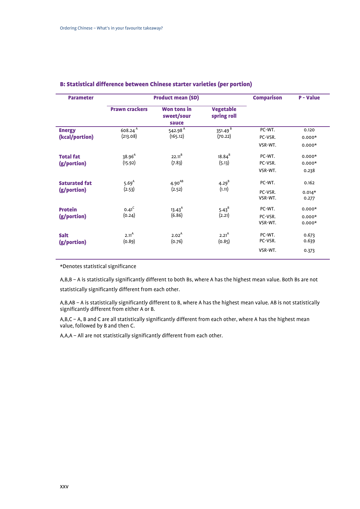| <b>Parameter</b>     |                       | <b>Product mean (SD)</b>                  |                                 | <b>Comparison</b> | <b>P</b> - Value |
|----------------------|-----------------------|-------------------------------------------|---------------------------------|-------------------|------------------|
|                      | <b>Prawn crackers</b> | <b>Won tons in</b><br>sweet/sour<br>sauce | <b>Vegetable</b><br>spring roll |                   |                  |
| <b>Energy</b>        | $608.24^{A}$          | 542.98 $\overline{A}$                     | $351.49^{B}$                    | PC-WT.            | 0.120            |
| (kcal/portion)       | (213.08)              | (165.12)                                  | (70.22)                         | PC-VSR.           | $0.000*$         |
|                      |                       |                                           |                                 | VSR-WT.           | $0.000*$         |
| <b>Total fat</b>     | 38.96 <sup>A</sup>    | $22.11^{B}$                               | $18.84^{B}$                     | PC-WT.            | $0.000*$         |
| (g/portion)          | (15.92)               | (7.83)                                    | (5.13)                          | PC-VSR.           | $0.000*$         |
|                      |                       |                                           |                                 | VSR-WT.           | 0.238            |
| <b>Saturated fat</b> | 5.69 <sup>A</sup>     | $4.90^{AB}$                               | $4.29^{B}$                      | PC-WT.            | 0.162            |
| (g/portion)          | (2.53)                | (2.52)                                    | (1.11)                          | PC-VSR.           | $0.014*$         |
|                      |                       |                                           |                                 | VSR-WT.           | 0.277            |
| <b>Protein</b>       | $0.41^{C}$            | $13.43^{A}$                               | $5.43^{B}$                      | PC-WT.            | $0.000*$         |
| (g/portion)          | (0.24)                | (6.86)                                    | (2.21)                          | PC-VSR.           | $0.000*$         |
|                      |                       |                                           |                                 | VSR-WT.           | $0.000*$         |
| <b>Salt</b>          | $2.11^{A}$            | 2.02 <sup>A</sup>                         | $2.21^{A}$                      | PC-WT.            | 0.673            |
| (g/portion)          | (0.89)                | (0.76)                                    | (0.85)                          | PC-VSR.           | 0.639            |
|                      |                       |                                           |                                 | VSR-WT.           | 0.373            |

#### B: Statistical difference between Chinese starter varieties (per portion)

\*Denotes statistical significance

A,B,B – A is statistically significantly different to both Bs, where A has the highest mean value. Both Bs are not statistically significantly different from each other.

A,B,AB – A is statistically significantly different to B, where A has the highest mean value. AB is not statistically significantly different from either A or B.

A,B,C – A, B and C are all statistically significantly different from each other, where A has the highest mean value, followed by B and then C.

A,A,A – All are not statistically significantly different from each other.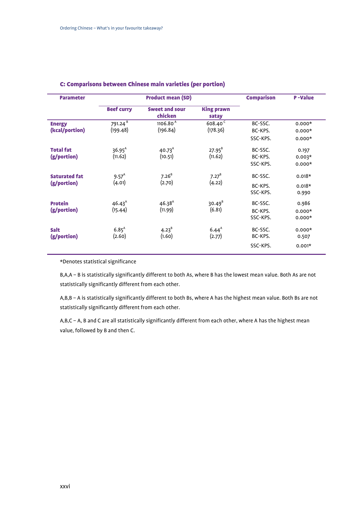| <b>Parameter</b>     | <b>Product mean (SD)</b> |                                  |                            | <b>Comparison</b> | <b>P-Value</b> |
|----------------------|--------------------------|----------------------------------|----------------------------|-------------------|----------------|
|                      | <b>Beef curry</b>        | <b>Sweet and sour</b><br>chicken | <b>King prawn</b><br>satay |                   |                |
| <b>Energy</b>        | $791.24^{B}$             | $1106.80^{A}$                    | $608.40^{C}$               | BC-SSC.           | $0.000*$       |
| (kcal/portion)       | (199.48)                 | (196.84)                         | (178.36)                   | BC-KPS.           | $0.000*$       |
|                      |                          |                                  |                            | SSC-KPS.          | $0.000*$       |
| <b>Total fat</b>     | $36.95^{A}$              | $40.73^{A}$                      | $27.95^{B}$                | BC-SSC.           | 0.197          |
| (g/portion)          | (11.62)                  | (10.51)                          | (11.62)                    | BC-KPS.           | $0.003*$       |
|                      |                          |                                  |                            | SSC-KPS.          | $0.000*$       |
| <b>Saturated fat</b> | $9.57^{A}$               | $7.26^{B}$                       | $7.27^{B}$                 | BC-SSC.           | $0.018*$       |
| (g/portion)          | (4.01)                   | (2.70)                           | (4.22)                     | BC-KPS.           | $0.018*$       |
|                      |                          |                                  |                            | SSC-KPS.          | 0.990          |
| <b>Protein</b>       | $46.43^{A}$              | $46.38^{A}$                      | $30.49^{B}$                | BC-SSC.           | 0.986          |
| (g/portion)          | (15.44)                  | (11.99)                          | (6.81)                     | BC-KPS.           | $0.000*$       |
|                      |                          |                                  |                            | SSC-KPS.          | $0.000*$       |
| <b>Salt</b>          | $6.85^{A}$               | $4.23^{B}$                       | $6.44^{A}$                 | BC-SSC.           | $0.000*$       |
| (g/portion)          | (2.60)                   | (1.60)                           | (2.77)                     | BC-KPS.           | 0.507          |
|                      |                          |                                  |                            | SSC-KPS.          | $0.001*$       |
|                      |                          |                                  |                            |                   |                |

#### C: Comparisons between Chinese main varieties (per portion)

\*Denotes statistical significance

B,A,A – B is statistically significantly different to both As, where B has the lowest mean value. Both As are not statistically significantly different from each other.

A,B,B – A is statistically significantly different to both Bs, where A has the highest mean value. Both Bs are not statistically significantly different from each other.

A,B,C – A, B and C are all statistically significantly different from each other, where A has the highest mean value, followed by B and then C.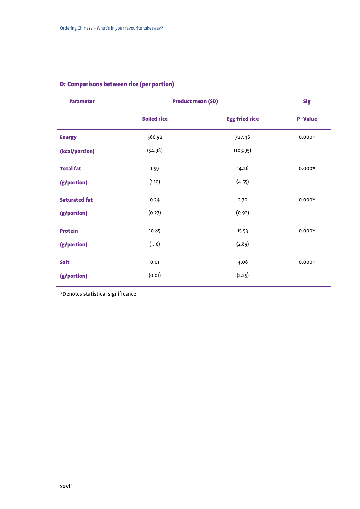| <b>Parameter</b>     | <b>Product mean (SD)</b> | <b>Sig</b>            |                |
|----------------------|--------------------------|-----------------------|----------------|
|                      | <b>Boiled rice</b>       | <b>Egg fried rice</b> | <b>P-Value</b> |
| <b>Energy</b>        | 566.92                   | 727.46                | $0.000*$       |
| (kcal/portion)       | (54.98)                  | (103.95)              |                |
| <b>Total fat</b>     | 1.59                     | 14.26                 | $0.000*$       |
| (g/portion)          | (1.10)                   | (4.55)                |                |
| <b>Saturated fat</b> | 0.34                     | 2.70                  | $0.000*$       |
| (g/portion)          | (0.27)                   | (0.92)                |                |
| <b>Protein</b>       | 10.85                    | 15.53                 | $0.000*$       |
| (g/portion)          | (1.16)                   | (2.89)                |                |
| Salt                 | 0.01                     | 4.06                  | $0.000*$       |
| (g/portion)          | (0.01)                   | (2.25)                |                |

### D: Comparisons between rice (per portion)

\*Denotes statistical significance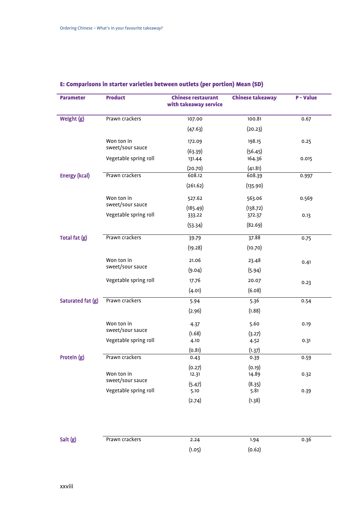| <b>Parameter</b>     | <b>Product</b>        | <b>Chinese restaurant</b><br>with takeaway service | <b>Chinese takeaway</b> | <b>P</b> - Value |
|----------------------|-----------------------|----------------------------------------------------|-------------------------|------------------|
| Weight (g)           | Prawn crackers        | 107.00                                             | 100.81                  | 0.67             |
|                      |                       | (47.63)                                            | (20.23)                 |                  |
|                      | Won ton in            | 172.09                                             | 198.15                  | 0.25             |
|                      | sweet/sour sauce      | (63.39)                                            | (56.45)                 |                  |
|                      | Vegetable spring roll | 131.44                                             | 164.36                  | 0.015            |
|                      |                       | (20.70)                                            | (41.81)                 |                  |
| <b>Energy (kcal)</b> | Prawn crackers        | 608.12                                             | 608.39                  | 0.997            |
|                      |                       | (261.62)                                           | (135.90)                |                  |
|                      | Won ton in            | 527.62                                             | 563.06                  | 0.569            |
|                      | sweet/sour sauce      | (185.49)                                           | (138.72)                |                  |
|                      | Vegetable spring roll | 333.22                                             | 372.37                  | 0.13             |
|                      |                       | (53.34)                                            | (82.69)                 |                  |
| Total fat (g)        | Prawn crackers        | 39.79                                              | 37.88                   | 0.75             |
|                      |                       | (19.28)                                            | (10.70)                 |                  |
|                      | Won ton in            | 21.06                                              | 23.48                   | 0.41             |
|                      | sweet/sour sauce      | (9.04)                                             | (5.94)                  |                  |
|                      | Vegetable spring roll | 17.76                                              | 20.07                   | 0.23             |
|                      |                       | (4.01)                                             | (6.08)                  |                  |
| Saturated fat (g)    | Prawn crackers        | 5.94                                               | 5.36                    | 0.54             |
|                      |                       | (2.96)                                             | (1.88)                  |                  |
|                      | Won ton in            | 4.37                                               | 5.60                    | 0.19             |
|                      | sweet/sour sauce      | (1.68)                                             | (3.27)                  |                  |
|                      | Vegetable spring roll | 4.10                                               | 4.52                    | 0.31             |
|                      |                       | (0.81)                                             | (1.37)                  |                  |
| Protein (g)          | Prawn crackers        | 0.43                                               | 0.39                    | 0.59             |
|                      |                       | (0.27)                                             | (0.19)                  |                  |
|                      | Won ton in            | 12.31                                              | 14.89                   | 0.32             |
|                      | sweet/sour sauce      | (5.47)                                             | (8.35)                  |                  |
|                      | Vegetable spring roll | 5.10                                               | 5.81                    | 0.39             |
|                      |                       | (2.74)                                             | (1.38)                  |                  |

### E: Comparisons in starter varieties between outlets (per portion) Mean (SD)

| Salt (g) | Prawn crackers | 2.24   | 1.94   | 0.36 |
|----------|----------------|--------|--------|------|
|          |                | (1.05) | (0.62) |      |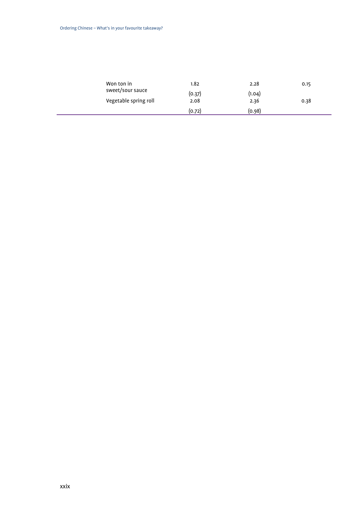| Won ton in            | 1.82   | 2.28   | 0.15 |
|-----------------------|--------|--------|------|
| sweet/sour sauce      | (0.37) | (1.04) |      |
| Vegetable spring roll | 2.08   | 2.36   | 0.38 |
|                       | (0.72) | (0.98) |      |
|                       |        |        |      |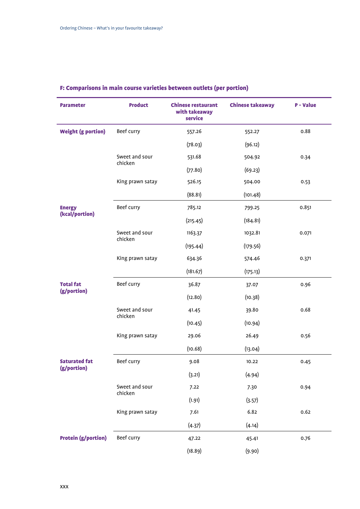| <b>Parameter</b>                    | <b>Product</b>            | <b>Chinese restaurant</b><br>with takeaway<br>service | <b>Chinese takeaway</b> | <b>P</b> - Value |
|-------------------------------------|---------------------------|-------------------------------------------------------|-------------------------|------------------|
| <b>Weight (g portion)</b>           | Beef curry                | 557.26                                                | 552.27                  | 0.88             |
|                                     |                           | (78.03)                                               | (96.12)                 |                  |
|                                     | Sweet and sour<br>chicken | 531.68                                                | 504.92                  | 0.34             |
|                                     |                           | (77.80)                                               | (69.23)                 |                  |
|                                     | King prawn satay          | 526.15                                                | 504.00                  | 0.53             |
|                                     |                           | (88.81)                                               | (101.48)                |                  |
| <b>Energy</b><br>(kcal/portion)     | Beef curry                | 785.12                                                | 799.25                  | 0.851            |
|                                     |                           | (215.45)                                              | (184.81)                |                  |
|                                     | Sweet and sour<br>chicken | 1163.37                                               | 1032.81                 | 0.071            |
|                                     |                           | (195.44)                                              | (179.56)                |                  |
|                                     | King prawn satay          | 634.36                                                | 574.46                  | 0.371            |
|                                     |                           | (181.67)                                              | (175.13)                |                  |
| <b>Total fat</b><br>(g/portion)     | Beef curry                | 36.87                                                 | 37.07                   | 0.96             |
|                                     |                           | (12.80)                                               | (10.38)                 |                  |
|                                     | Sweet and sour<br>chicken | 41.45                                                 | 39.80                   | 0.68             |
|                                     |                           | (10.45)                                               | (10.94)                 |                  |
|                                     | King prawn satay          | 29.06                                                 | 26.49                   | 0.56             |
|                                     |                           | (10.68)                                               | (13.04)                 |                  |
| <b>Saturated fat</b><br>(g/portion) | Beef curry                | 9.08                                                  | 10.22                   | 0.45             |
|                                     |                           | (3.21)                                                | (4.94)                  |                  |
|                                     | Sweet and sour<br>chicken | 7.22                                                  | 7.30                    | 0.94             |
|                                     |                           | (1.91)                                                | (3.57)                  |                  |
|                                     | King prawn satay          | 7.61                                                  | 6.82                    | 0.62             |
|                                     |                           | (4.37)                                                | (4.14)                  |                  |
| <b>Protein (g/portion)</b>          | Beef curry                | 47.22                                                 | 45.41                   | 0.76             |
|                                     |                           | (18.89)                                               | (9.90)                  |                  |

### F: Comparisons in main course varieties between outlets (per portion)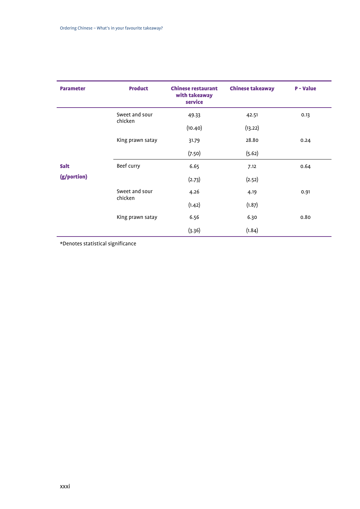| <b>Parameter</b> | <b>Product</b>            | <b>Chinese restaurant</b><br>with takeaway<br>service | <b>Chinese takeaway</b> | <b>P</b> - Value |
|------------------|---------------------------|-------------------------------------------------------|-------------------------|------------------|
|                  | Sweet and sour<br>chicken | 49.33                                                 | 42.51                   | 0.13             |
|                  |                           | (10.40)                                               | (13.22)                 |                  |
|                  | King prawn satay          | 31.79                                                 | 28.80                   | 0.24             |
|                  |                           | (7.50)                                                | (5.62)                  |                  |
| <b>Salt</b>      | Beef curry                | 6.65                                                  | 7.12                    | 0.64             |
| (g/portion)      |                           | (2.73)                                                | (2.52)                  |                  |
|                  | Sweet and sour<br>chicken | 4.26                                                  | 4.19                    | 0.91             |
|                  |                           | (1.42)                                                | (1.87)                  |                  |
|                  | King prawn satay          | 6.56                                                  | 6.30                    | 0.80             |
|                  |                           | (3.36)                                                | (1.84)                  |                  |

\*Denotes statistical significance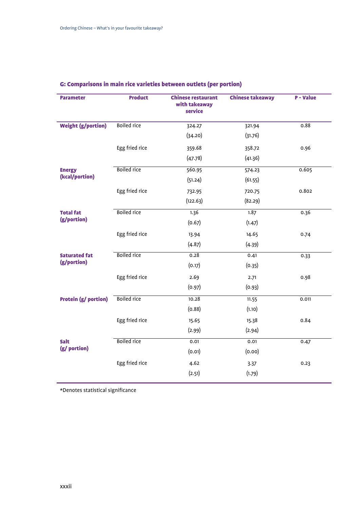| <b>Parameter</b>                    | <b>Product</b>     | <b>Chinese restaurant</b><br>with takeaway<br>service | <b>Chinese takeaway</b> | <b>P</b> - Value |
|-------------------------------------|--------------------|-------------------------------------------------------|-------------------------|------------------|
| <b>Weight (g/portion)</b>           | <b>Boiled rice</b> | 324.27                                                | 321.94                  | 0.88             |
|                                     |                    | (34.20)                                               | (31.76)                 |                  |
|                                     | Egg fried rice     | 359.68                                                | 358.72                  | 0.96             |
|                                     |                    | (47.78)                                               | (41.36)                 |                  |
| <b>Energy</b>                       | <b>Boiled rice</b> | 560.95                                                | 574.23                  | 0.605            |
| (kcal/portion)                      |                    | (51.24)                                               | (61.55)                 |                  |
|                                     | Egg fried rice     | 732.95                                                | 720.75                  | 0.802            |
|                                     |                    | (122.63)                                              | (82.29)                 |                  |
| <b>Total fat</b>                    | <b>Boiled rice</b> | 1.36                                                  | 1.87                    | 0.36             |
| (g/portion)                         |                    | (0.67)                                                | (1.47)                  |                  |
|                                     | Egg fried rice     | 13.94                                                 | 14.65                   | 0.74             |
|                                     |                    | (4.87)                                                | (4.39)                  |                  |
| <b>Saturated fat</b><br>(g/portion) | <b>Boiled</b> rice | 0.28                                                  | 0.41                    | 0.33             |
|                                     |                    | (0.17)                                                | (0.35)                  |                  |
|                                     | Egg fried rice     | 2.69                                                  | 2.71                    | 0.98             |
|                                     |                    | (0.97)                                                | (0.93)                  |                  |
| <b>Protein (g/ portion)</b>         | <b>Boiled rice</b> | 10.28                                                 | 11.55                   | 0.011            |
|                                     |                    | (0.88)                                                | (1.10)                  |                  |
|                                     | Egg fried rice     | 15.65                                                 | 15.38                   | 0.84             |
|                                     |                    | (2.99)                                                | (2.94)                  |                  |
| <b>Salt</b><br>(g/ portion)         | <b>Boiled rice</b> | 0.01                                                  | 0.01                    | 0.47             |
|                                     |                    | (0.01)                                                | (0.00)                  |                  |
|                                     | Egg fried rice     | 4.62                                                  | 3.37                    | 0.23             |
|                                     |                    | (2.51)                                                | (1.79)                  |                  |
|                                     |                    |                                                       |                         |                  |

### G: Comparisons in main rice varieties between outlets (per portion)

\*Denotes statistical significance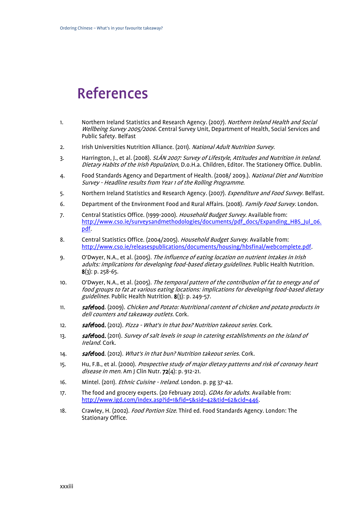## <span id="page-32-0"></span>References

- <span id="page-32-1"></span>1. Northern Ireland Statistics and Research Agency. (2007). Northern Ireland Health and Social Wellbeing Survey 2005/2006. Central Survey Unit, Department of Health, Social Services and Public Safety. Belfast
- <span id="page-32-2"></span>2. Irish Universities Nutrition Alliance. (2011). National Adult Nutrition Survey.
- <span id="page-32-4"></span>3. Harrington, J., et al. (2008). SLÁN 2007: Survey of Lifestyle, Attitudes and Nutrition in Ireland. Dietary Habits of the Irish Population, D.o.H.a. Children, Editor. The Stationery Office. Dublin.
- <span id="page-32-3"></span>4. Food Standards Agency and Department of Health. (2008/2009.). National Diet and Nutrition Survey - Headline results from Year 1 of the Rolling Programme.
- <span id="page-32-5"></span>5. Northern Ireland Statistics and Research Agency. (2007). Expenditure and Food Survey. Belfast.
- 6. Department of the Environment Food and Rural Affairs. (2008). Family Food Survey. London.
- 7. Central Statistics Office. (1999-2000). Household Budget Survey. Available from: [http://www.cso.ie/surveysandmethodologies/documents/pdf\\_docs/Expanding\\_HBS\\_Jul\\_06.](http://www.cso.ie/surveysandmethodologies/documents/pdf_docs/Expanding_HBS_Jul_06.pdf) [pdf.](http://www.cso.ie/surveysandmethodologies/documents/pdf_docs/Expanding_HBS_Jul_06.pdf)
- 8. Central Statistics Office. (2004/2005). Household Budget Survey. Available from: [http://www.cso.ie/releasespublications/documents/housing/hbsfinal/webcomplete.pdf.](http://www.cso.ie/releasespublications/documents/housing/hbsfinal/webcomplete.pdf)
- <span id="page-32-6"></span>9. O'Dwyer, N.A., et al. (2005). The influence of eating location on nutrient intakes in Irish adults: implications for developing food-based dietary guidelines. Public Health Nutrition.  $8(3)$ : p. 258-65.
- <span id="page-32-7"></span>10. O'Dwyer, N.A., et al. (2005). The temporal pattern of the contribution of fat to energy and of food groups to fat at various eating locations: implications for developing food-based dietary guidelines. Public Health Nutrition. 8(3): p. 249-57.
- <span id="page-32-8"></span>11. **safefood**. (2009). Chicken and Potato: Nutritional content of chicken and potato products in deli counters and takeaway outlets. Cork.
- 12. **safefood.** (2012). Pizza What's in that box? Nutrition takeout series. Cork.
- 13. **safefood.** (2011). Survey of salt levels in soup in catering establishments on the island of Ireland. Cork.
- 14. **safefood**. (2012). What's in that bun? Nutrition takeout series. Cork.
- <span id="page-32-9"></span>15. Hu, F.B., et al. (2000). Prospective study of major dietary patterns and risk of coronary heart disease in men. Am J Clin Nutr. 72(4): p. 912-21.
- <span id="page-32-10"></span>16. Mintel. (2011). *Ethnic Cuisine - Ireland.* London. p. pg 37-42.
- <span id="page-32-11"></span>17. The food and grocery experts. (20 February 2012). *GDAs for adults*. Available from: [http://www.igd.com/index.asp?id=1&fid=5&sid=42&tid=62&cid=446.](http://www.igd.com/index.asp?id=1&fid=5&sid=42&tid=62&cid=446)
- <span id="page-32-12"></span>18. Crawley, H. (2002). *Food Portion Size*. Third ed. Food Standards Agency. London: The Stationary Office.